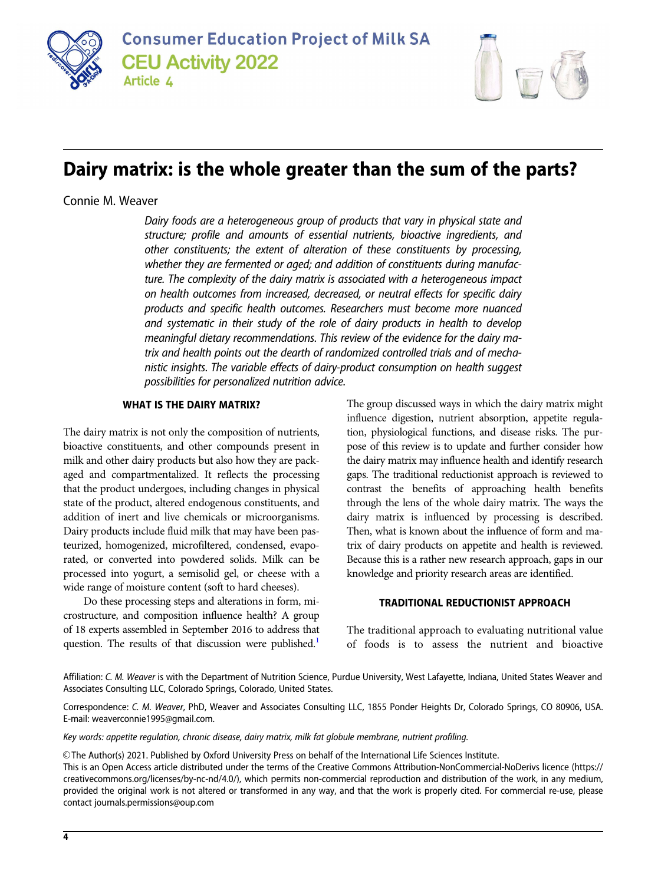



# Dairy matrix: is the whole greater than the sum of the parts?

Connie M. Weaver

Dairy foods are a heterogeneous group of products that vary in physical state and structure; profile and amounts of essential nutrients, bioactive ingredients, and other constituents; the extent of alteration of these constituents by processing, whether they are fermented or aged; and addition of constituents during manufacture. The complexity of the dairy matrix is associated with a heterogeneous impact on health outcomes from increased, decreased, or neutral effects for specific dairy products and specific health outcomes. Researchers must become more nuanced and systematic in their study of the role of dairy products in health to develop meaningful dietary recommendations. This review of the evidence for the dairy matrix and health points out the dearth of randomized controlled trials and of mechanistic insights. The variable effects of dairy-product consumption on health suggest possibilities for personalized nutrition advice.

# WHAT IS THE DAIRY MATRIX?

The dairy matrix is not only the composition of nutrients, bioactive constituents, and other compounds present in milk and other dairy products but also how they are packaged and compartmentalized. It reflects the processing that the product undergoes, including changes in physical state of the product, altered endogenous constituents, and addition of inert and live chemicals or microorganisms. Dairy products include fluid milk that may have been pasteurized, homogenized, microfiltered, condensed, evaporated, or converted into powdered solids. Milk can be processed into yogurt, a semisolid gel, or cheese with a wide range of moisture content (soft to hard cheeses).

Do these processing steps and alterations in form, microstructure, and composition influence health? A group of 18 experts assembled in September 2016 to address that question. The results of that discussion were published.<sup>1</sup>

The group discussed ways in which the dairy matrix might influence digestion, nutrient absorption, appetite regulation, physiological functions, and disease risks. The purpose of this review is to update and further consider how the dairy matrix may influence health and identify research gaps. The traditional reductionist approach is reviewed to contrast the benefits of approaching health benefits through the lens of the whole dairy matrix. The ways the dairy matrix is influenced by processing is described. Then, what is known about the influence of form and matrix of dairy products on appetite and health is reviewed. Because this is a rather new research approach, gaps in our knowledge and priority research areas are identified.

#### TRADITIONAL REDUCTIONIST APPROACH

The traditional approach to evaluating nutritional value of foods is to assess the nutrient and bioactive

Affiliation: C. M. Weaver is with the Department of Nutrition Science, Purdue University, West Lafayette, Indiana, United States Weaver and Associates Consulting LLC, Colorado Springs, Colorado, United States.

Correspondence: C. M. Weaver, PhD, Weaver and Associates Consulting LLC, 1855 Ponder Heights Dr, Colorado Springs, CO 80906, USA. E-mail: weaverconnie1995@gmail.com.

Key words: appetite regulation, chronic disease, dairy matrix, milk fat globule membrane, nutrient profiling.

V<sup>C</sup> The Author(s) 2021. Published by Oxford University Press on behalf of the International Life Sciences Institute. This is an Open Access article distributed under the terms of the Creative Commons Attribution-NonCommercial-NoDerivs licence (https://

creativecommons.org/licenses/by-nc-nd/4.0/), which permits non-commercial reproduction and distribution of the work, in any medium, provided the original work is not altered or transformed in any way, and that the work is properly cited. For commercial re-use, please contact journals.permissions@oup.com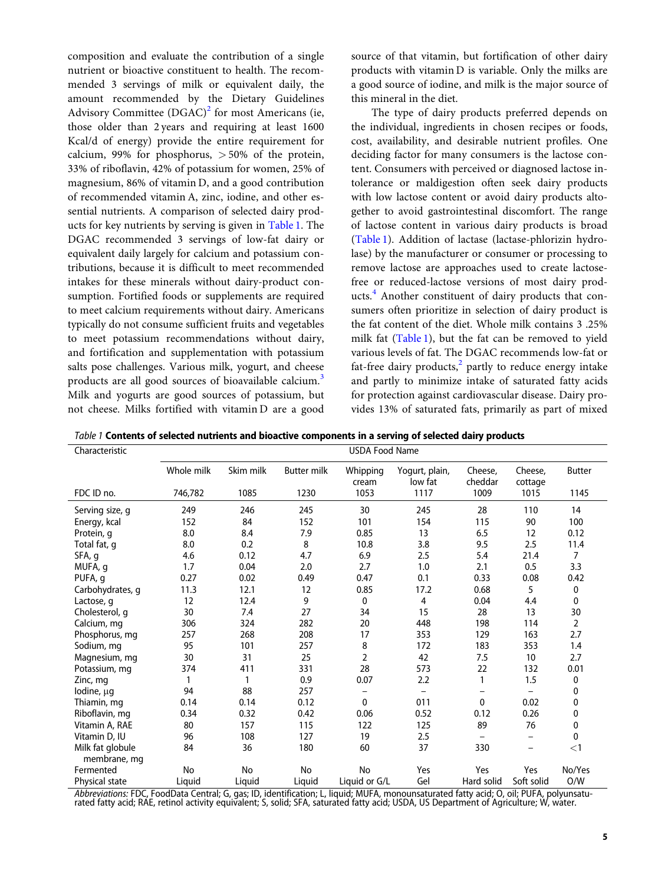composition and evaluate the contribution of a single nutrient or bioactive constituent to health. The recommended 3 servings of milk or equivalent daily, the amount recommended by the Dietary Guidelines Advisory Committee  $(DGAC)^2$  $(DGAC)^2$  for most Americans (ie, those older than 2 years and requiring at least 1600 Kcal/d of energy) provide the entire requirement for calcium, 99% for phosphorus,  $> 50%$  of the protein, 33% of riboflavin, 42% of potassium for women, 25% of magnesium, 86% of vitamin D, and a good contribution of recommended vitamin A, zinc, iodine, and other essential nutrients. A comparison of selected dairy products for key nutrients by serving is given in Table 1. The DGAC recommended 3 servings of low-fat dairy or equivalent daily largely for calcium and potassium contributions, because it is difficult to meet recommended intakes for these minerals without dairy-product consumption. Fortified foods or supplements are required to meet calcium requirements without dairy. Americans typically do not consume sufficient fruits and vegetables to meet potassium recommendations without dairy, and fortification and supplementation with potassium salts pose challenges. Various milk, yogurt, and cheese products are all good sources of bioavailable calcium.<sup>[3](#page-10-0)</sup> Milk and yogurts are good sources of potassium, but not cheese. Milks fortified with vitamin D are a good

source of that vitamin, but fortification of other dairy products with vitamin D is variable. Only the milks are a good source of iodine, and milk is the major source of this mineral in the diet.

The type of dairy products preferred depends on the individual, ingredients in chosen recipes or foods, cost, availability, and desirable nutrient profiles. One deciding factor for many consumers is the lactose content. Consumers with perceived or diagnosed lactose intolerance or maldigestion often seek dairy products with low lactose content or avoid dairy products altogether to avoid gastrointestinal discomfort. The range of lactose content in various dairy products is broad (Table 1). Addition of lactase (lactase-phlorizin hydrolase) by the manufacturer or consumer or processing to remove lactose are approaches used to create lactosefree or reduced-lactose versions of most dairy products.[4](#page-10-0) Another constituent of dairy products that consumers often prioritize in selection of dairy product is the fat content of the diet. Whole milk contains 3 .25% milk fat (Table 1), but the fat can be removed to yield various levels of fat. The DGAC recommends low-fat or fat-free dairy products, $^2$  $^2$  partly to reduce energy intake and partly to minimize intake of saturated fatty acids for protection against cardiovascular disease. Dairy provides 13% of saturated fats, primarily as part of mixed

Table 1 Contents of selected nutrients and bioactive components in a serving of selected dairy products

| Characteristic                   |            |           |                          | <b>USDA Food Name</b> |                           |                          |                    |                |
|----------------------------------|------------|-----------|--------------------------|-----------------------|---------------------------|--------------------------|--------------------|----------------|
|                                  | Whole milk | Skim milk | <b>Butter milk</b>       | Whipping<br>cream     | Yogurt, plain,<br>low fat | Cheese.<br>cheddar       | Cheese.<br>cottage | <b>Butter</b>  |
| FDC ID no.                       | 746,782    | 1085      | 1230                     | 1053                  | 1117                      | 1009                     | 1015               | 1145           |
| Serving size, g                  | 249        | 246       | 245                      | 30                    | 245                       | 28                       | 110                | 14             |
| Energy, kcal                     | 152        | 84        | 152                      | 101                   | 154                       | 115                      | 90                 | 100            |
| Protein, q                       | 8.0        | 8.4       | 7.9                      | 0.85                  | 13                        | 6.5                      | 12                 | 0.12           |
| Total fat, q                     | 8.0        | 0.2       | 8                        | 10.8                  | 3.8                       | 9.5                      | 2.5                | 11.4           |
| SFA, g                           | 4.6        | 0.12      | 4.7                      | 6.9                   | 2.5                       | 5.4                      | 21.4               | 7              |
| MUFA, g                          | 1.7        | 0.04      | 2.0                      | 2.7                   | 1.0                       | 2.1                      | 0.5                | 3.3            |
| PUFA, g                          | 0.27       | 0.02      | 0.49                     | 0.47                  | 0.1                       | 0.33                     | 0.08               | 0.42           |
| Carbohydrates, g                 | 11.3       | 12.1      | 12                       | 0.85                  | 17.2                      | 0.68                     | 5                  | 0              |
| Lactose, q                       | 12         | 12.4      | 9                        | 0                     | 4                         | 0.04                     | 4.4                | 0              |
| Cholesterol, g                   | 30         | 7.4       | 27                       | 34                    | 15                        | 28                       | 13                 | 30             |
| Calcium, mg                      | 306        | 324       | 282                      | 20                    | 448                       | 198                      | 114                | $\overline{2}$ |
| Phosphorus, mg                   | 257        | 268       | 208                      | 17                    | 353                       | 129                      | 163                | 2.7            |
| Sodium, mg                       | 95         | 101       | 257                      | 8                     | 172                       | 183                      | 353                | 1.4            |
| Magnesium, mg                    | 30         | 31        | 25                       | $\overline{2}$        | 42                        | 7.5                      | 10                 | 2.7            |
| Potassium, mg                    | 374        | 411       | 331                      | 28                    | 573                       | 22                       | 132                | 0.01           |
| Zinc, mg                         |            | 1         | 0.9                      | 0.07                  | 2.2                       | 1                        | 1.5                | 0              |
| lodine, µg                       | 94         | 88        | 257                      |                       |                           |                          |                    | 0              |
| Thiamin, mg                      | 0.14       | 0.14      | 0.12                     | 0                     | 011                       | $\mathbf{0}$             | 0.02               | 0              |
| Riboflavin, mg                   | 0.34       | 0.32      | 0.42                     | 0.06                  | 0.52                      | 0.12                     | 0.26               | 0              |
| Vitamin A, RAE                   | 80         | 157       | 115                      | 122                   | 125                       | 89                       | 76                 | 0              |
| Vitamin D, IU                    | 96         | 108       | 127                      | 19                    | 2.5                       |                          | -                  | 0              |
| Milk fat globule<br>membrane, mg | 84         | 36        | 180                      | 60                    | 37                        | 330                      | -                  | $<$ 1          |
| Fermented                        | No         | No        | No                       | No                    | Yes                       | Yes                      | Yes                | No/Yes         |
| Physical state                   | Liquid     | Liquid    | Liquid                   | Liquid or G/L         | Gel                       | Hard solid               | Soft solid         | O/W            |
|                                  | $\sim$     |           | $\overline{\phantom{a}}$ | . <i>.</i>            |                           | $\sim$<br>$\cdot$ $\sim$ | $ - -$             |                |

*Abbreviations:* FDC, FoodData Central; G, gas; ID, identification; L, liquid; MUFA, monounsaturated fatty acid; O, oil; PUFA, polyunsatu-<br>rated fatty acid; RAE, retinol activity equivalent; S, solid; SFA, saturated fatty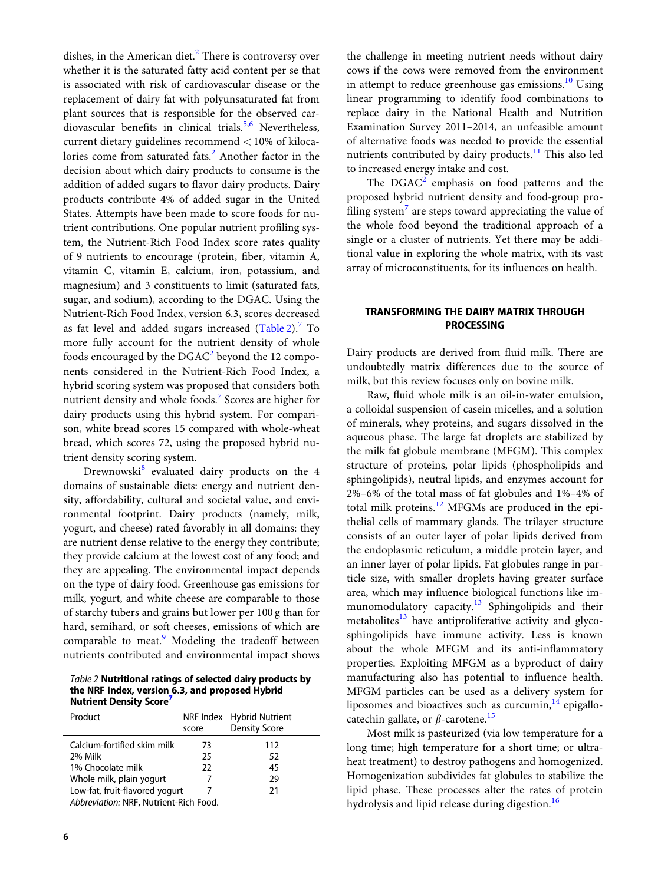dishes, in the American diet. $<sup>2</sup>$  $<sup>2</sup>$  $<sup>2</sup>$  There is controversy over</sup> whether it is the saturated fatty acid content per se that is associated with risk of cardiovascular disease or the replacement of dairy fat with polyunsaturated fat from plant sources that is responsible for the observed car-diovascular benefits in clinical trials.<sup>[5,6](#page-10-0)</sup> Nevertheless, current dietary guidelines recommend < 10% of kiloca-lories come from saturated fats.<sup>[2](#page-10-0)</sup> Another factor in the decision about which dairy products to consume is the addition of added sugars to flavor dairy products. Dairy products contribute 4% of added sugar in the United States. Attempts have been made to score foods for nutrient contributions. One popular nutrient profiling system, the Nutrient-Rich Food Index score rates quality of 9 nutrients to encourage (protein, fiber, vitamin A, vitamin C, vitamin E, calcium, iron, potassium, and magnesium) and 3 constituents to limit (saturated fats, sugar, and sodium), according to the DGAC. Using the Nutrient-Rich Food Index, version 6.3, scores decreased as fat level and added sugars increased  $(Table 2)<sup>7</sup>$  $(Table 2)<sup>7</sup>$  $(Table 2)<sup>7</sup>$  To more fully account for the nutrient density of whole foods encouraged by the  $DGAC<sup>2</sup>$  $DGAC<sup>2</sup>$  $DGAC<sup>2</sup>$  beyond the 12 components considered in the Nutrient-Rich Food Index, a hybrid scoring system was proposed that considers both nutrient density and whole foods.<sup>[7](#page-10-0)</sup> Scores are higher for dairy products using this hybrid system. For comparison, white bread scores 15 compared with whole-wheat bread, which scores 72, using the proposed hybrid nutrient density scoring system.

Drewnowski<sup>[8](#page-10-0)</sup> evaluated dairy products on the 4 domains of sustainable diets: energy and nutrient density, affordability, cultural and societal value, and environmental footprint. Dairy products (namely, milk, yogurt, and cheese) rated favorably in all domains: they are nutrient dense relative to the energy they contribute; they provide calcium at the lowest cost of any food; and they are appealing. The environmental impact depends on the type of dairy food. Greenhouse gas emissions for milk, yogurt, and white cheese are comparable to those of starchy tubers and grains but lower per 100 g than for hard, semihard, or soft cheeses, emissions of which are comparable to meat.<sup>9</sup> Modeling the tradeoff between nutrients contributed and environmental impact shows

Table 2 Nutritional ratings of selected dairy products by the NRF Index, version 6.3, and proposed Hybrid **Nutrient Density Score** 

| Product                                          |       | NRF Index Hybrid Nutrient |
|--------------------------------------------------|-------|---------------------------|
|                                                  | score | <b>Density Score</b>      |
| Calcium-fortified skim milk                      | 73    | 112                       |
| 2% Milk                                          | 25    | 52                        |
| 1% Chocolate milk                                | 22    | 45                        |
| Whole milk, plain yogurt                         |       | 29                        |
| Low-fat, fruit-flavored yogurt                   |       | 21                        |
| $\mathbf{A} \mathbf{B}$ . The state $\mathbf{B}$ |       |                           |

Abbreviation: NRF, Nutrient-Rich Food.

the challenge in meeting nutrient needs without dairy cows if the cows were removed from the environment in attempt to reduce greenhouse gas emissions. $^{10}$  $^{10}$  $^{10}$  Using linear programming to identify food combinations to replace dairy in the National Health and Nutrition Examination Survey 2011–2014, an unfeasible amount of alternative foods was needed to provide the essential nutrients contributed by dairy products.<sup>[11](#page-10-0)</sup> This also led to increased energy intake and cost.

The  $DGAC<sup>2</sup>$  $DGAC<sup>2</sup>$  $DGAC<sup>2</sup>$  emphasis on food patterns and the proposed hybrid nutrient density and food-group pro-filing system<sup>[7](#page-10-0)</sup> are steps toward appreciating the value of the whole food beyond the traditional approach of a single or a cluster of nutrients. Yet there may be additional value in exploring the whole matrix, with its vast array of microconstituents, for its influences on health.

# TRANSFORMING THE DAIRY MATRIX THROUGH **PROCESSING**

Dairy products are derived from fluid milk. There are undoubtedly matrix differences due to the source of milk, but this review focuses only on bovine milk.

Raw, fluid whole milk is an oil-in-water emulsion, a colloidal suspension of casein micelles, and a solution of minerals, whey proteins, and sugars dissolved in the aqueous phase. The large fat droplets are stabilized by the milk fat globule membrane (MFGM). This complex structure of proteins, polar lipids (phospholipids and sphingolipids), neutral lipids, and enzymes account for 2%–6% of the total mass of fat globules and 1%–4% of total milk proteins.<sup>12</sup> MFGMs are produced in the epithelial cells of mammary glands. The trilayer structure consists of an outer layer of polar lipids derived from the endoplasmic reticulum, a middle protein layer, and an inner layer of polar lipids. Fat globules range in particle size, with smaller droplets having greater surface area, which may influence biological functions like immunomodulatory capacity.<sup>13</sup> Sphingolipids and their metabolites $13$  have antiproliferative activity and glycosphingolipids have immune activity. Less is known about the whole MFGM and its anti-inflammatory properties. Exploiting MFGM as a byproduct of dairy manufacturing also has potential to influence health. MFGM particles can be used as a delivery system for liposomes and bioactives such as curcumin, $^{14}$  $^{14}$  $^{14}$  epigallocatechin gallate, or  $\beta$ -carotene.<sup>[15](#page-11-0)</sup>

Most milk is pasteurized (via low temperature for a long time; high temperature for a short time; or ultraheat treatment) to destroy pathogens and homogenized. Homogenization subdivides fat globules to stabilize the lipid phase. These processes alter the rates of protein hydrolysis and lipid release during digestion.<sup>[16](#page-11-0)</sup>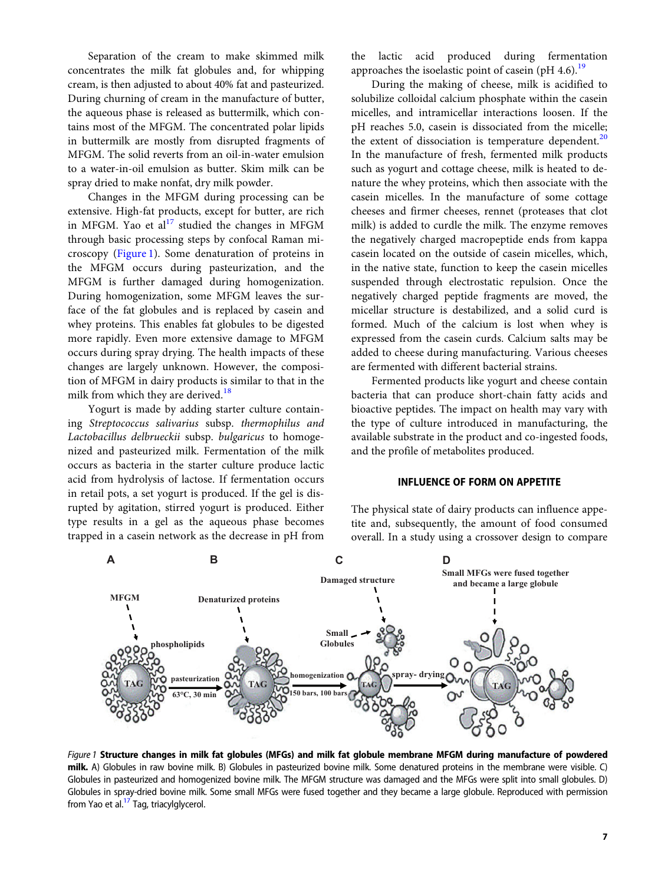Separation of the cream to make skimmed milk concentrates the milk fat globules and, for whipping cream, is then adjusted to about 40% fat and pasteurized. During churning of cream in the manufacture of butter, the aqueous phase is released as buttermilk, which contains most of the MFGM. The concentrated polar lipids in buttermilk are mostly from disrupted fragments of MFGM. The solid reverts from an oil-in-water emulsion to a water-in-oil emulsion as butter. Skim milk can be spray dried to make nonfat, dry milk powder.

Changes in the MFGM during processing can be extensive. High-fat products, except for butter, are rich in MFGM. Yao et al<sup>[17](#page-11-0)</sup> studied the changes in MFGM through basic processing steps by confocal Raman microscopy (Figure 1). Some denaturation of proteins in the MFGM occurs during pasteurization, and the MFGM is further damaged during homogenization. During homogenization, some MFGM leaves the surface of the fat globules and is replaced by casein and whey proteins. This enables fat globules to be digested more rapidly. Even more extensive damage to MFGM occurs during spray drying. The health impacts of these changes are largely unknown. However, the composition of MFGM in dairy products is similar to that in the milk from which they are derived.<sup>[18](#page-11-0)</sup>

Yogurt is made by adding starter culture containing Streptococcus salivarius subsp. thermophilus and Lactobacillus delbrueckii subsp. bulgaricus to homogenized and pasteurized milk. Fermentation of the milk occurs as bacteria in the starter culture produce lactic acid from hydrolysis of lactose. If fermentation occurs in retail pots, a set yogurt is produced. If the gel is disrupted by agitation, stirred yogurt is produced. Either type results in a gel as the aqueous phase becomes trapped in a casein network as the decrease in pH from

the lactic acid produced during fermentation approaches the isoelastic point of casein (pH 4.6).<sup>[19](#page-11-0)</sup>

During the making of cheese, milk is acidified to solubilize colloidal calcium phosphate within the casein micelles, and intramicellar interactions loosen. If the pH reaches 5.0, casein is dissociated from the micelle; the extent of dissociation is temperature dependent.<sup>[20](#page-11-0)</sup> In the manufacture of fresh, fermented milk products such as yogurt and cottage cheese, milk is heated to denature the whey proteins, which then associate with the casein micelles. In the manufacture of some cottage cheeses and firmer cheeses, rennet (proteases that clot milk) is added to curdle the milk. The enzyme removes the negatively charged macropeptide ends from kappa casein located on the outside of casein micelles, which, in the native state, function to keep the casein micelles suspended through electrostatic repulsion. Once the negatively charged peptide fragments are moved, the micellar structure is destabilized, and a solid curd is formed. Much of the calcium is lost when whey is expressed from the casein curds. Calcium salts may be added to cheese during manufacturing. Various cheeses are fermented with different bacterial strains.

Fermented products like yogurt and cheese contain bacteria that can produce short-chain fatty acids and bioactive peptides. The impact on health may vary with the type of culture introduced in manufacturing, the available substrate in the product and co-ingested foods, and the profile of metabolites produced.

### INFLUENCE OF FORM ON APPETITE

The physical state of dairy products can influence appetite and, subsequently, the amount of food consumed overall. In a study using a crossover design to compare



Figure 1 Structure changes in milk fat globules (MFGs) and milk fat globule membrane MFGM during manufacture of powdered milk. A) Globules in raw bovine milk. B) Globules in pasteurized bovine milk. Some denatured proteins in the membrane were visible. C) Globules in pasteurized and homogenized bovine milk. The MFGM structure was damaged and the MFGs were split into small globules. D) Globules in spray-dried bovine milk. Some small MFGs were fused together and they became a large globule. Reproduced with permission from Yao et al. $<sup>17</sup>$  Tag, triacylglycerol.</sup>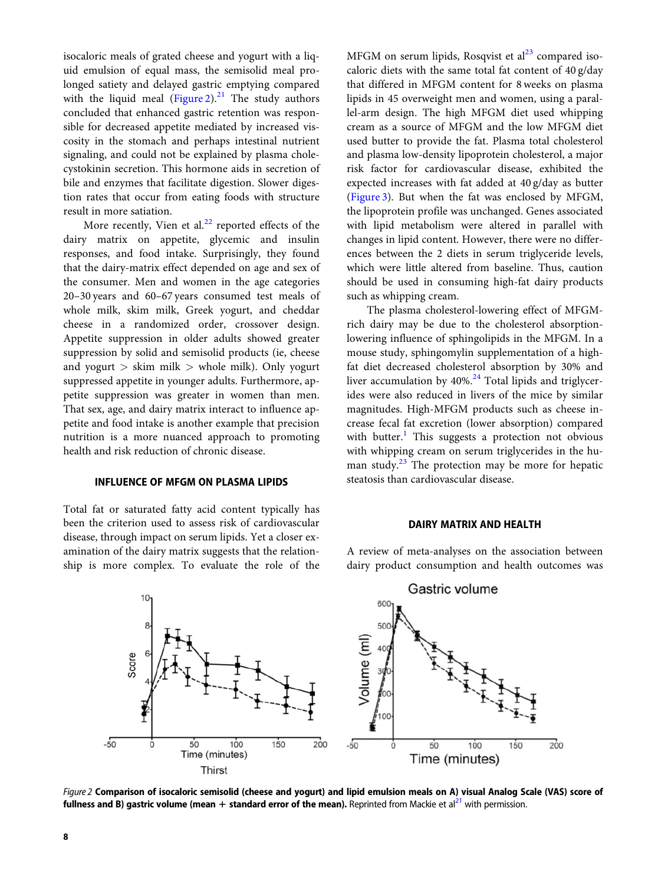isocaloric meals of grated cheese and yogurt with a liquid emulsion of equal mass, the semisolid meal prolonged satiety and delayed gastric emptying compared with the liquid meal (Figure 2).<sup>[21](#page-11-0)</sup> The study authors concluded that enhanced gastric retention was responsible for decreased appetite mediated by increased viscosity in the stomach and perhaps intestinal nutrient signaling, and could not be explained by plasma cholecystokinin secretion. This hormone aids in secretion of bile and enzymes that facilitate digestion. Slower digestion rates that occur from eating foods with structure result in more satiation.

More recently, Vien et al. $^{22}$  $^{22}$  $^{22}$  reported effects of the dairy matrix on appetite, glycemic and insulin responses, and food intake. Surprisingly, they found that the dairy-matrix effect depended on age and sex of the consumer. Men and women in the age categories 20–30 years and 60–67 years consumed test meals of whole milk, skim milk, Greek yogurt, and cheddar cheese in a randomized order, crossover design. Appetite suppression in older adults showed greater suppression by solid and semisolid products (ie, cheese and yogurt  $>$  skim milk  $>$  whole milk). Only yogurt suppressed appetite in younger adults. Furthermore, appetite suppression was greater in women than men. That sex, age, and dairy matrix interact to influence appetite and food intake is another example that precision nutrition is a more nuanced approach to promoting health and risk reduction of chronic disease.

### INFLUENCE OF MFGM ON PLASMA LIPIDS

Total fat or saturated fatty acid content typically has been the criterion used to assess risk of cardiovascular disease, through impact on serum lipids. Yet a closer examination of the dairy matrix suggests that the relationship is more complex. To evaluate the role of the

MFGM on serum lipids, Rosqvist et  $al<sup>23</sup>$  $al<sup>23</sup>$  $al<sup>23</sup>$  compared isocaloric diets with the same total fat content of 40 g/day that differed in MFGM content for 8 weeks on plasma lipids in 45 overweight men and women, using a parallel-arm design. The high MFGM diet used whipping cream as a source of MFGM and the low MFGM diet used butter to provide the fat. Plasma total cholesterol and plasma low-density lipoprotein cholesterol, a major risk factor for cardiovascular disease, exhibited the expected increases with fat added at 40 g/day as butter [\(Figure 3\)](#page-5-0). But when the fat was enclosed by MFGM, the lipoprotein profile was unchanged. Genes associated with lipid metabolism were altered in parallel with changes in lipid content. However, there were no differences between the 2 diets in serum triglyceride levels, which were little altered from baseline. Thus, caution should be used in consuming high-fat dairy products such as whipping cream.

The plasma cholesterol-lowering effect of MFGMrich dairy may be due to the cholesterol absorptionlowering influence of sphingolipids in the MFGM. In a mouse study, sphingomylin supplementation of a highfat diet decreased cholesterol absorption by 30% and liver accumulation by  $40\%$ .<sup>[24](#page-11-0)</sup> Total lipids and triglycerides were also reduced in livers of the mice by similar magnitudes. High-MFGM products such as cheese increase fecal fat excretion (lower absorption) compared with butter. $<sup>1</sup>$  $<sup>1</sup>$  $<sup>1</sup>$  This suggests a protection not obvious</sup> with whipping cream on serum triglycerides in the human study. $^{23}$  $^{23}$  $^{23}$  The protection may be more for hepatic steatosis than cardiovascular disease.

#### DAIRY MATRIX AND HEALTH

A review of meta-analyses on the association between dairy product consumption and health outcomes was



Figure 2 Comparison of isocaloric semisolid (cheese and yogurt) and lipid emulsion meals on A) visual Analog Scale (VAS) score of fullness and B) gastric volume (mean  $+$  standard error of the mean). Reprinted from Mackie et al<sup>21</sup> with permission.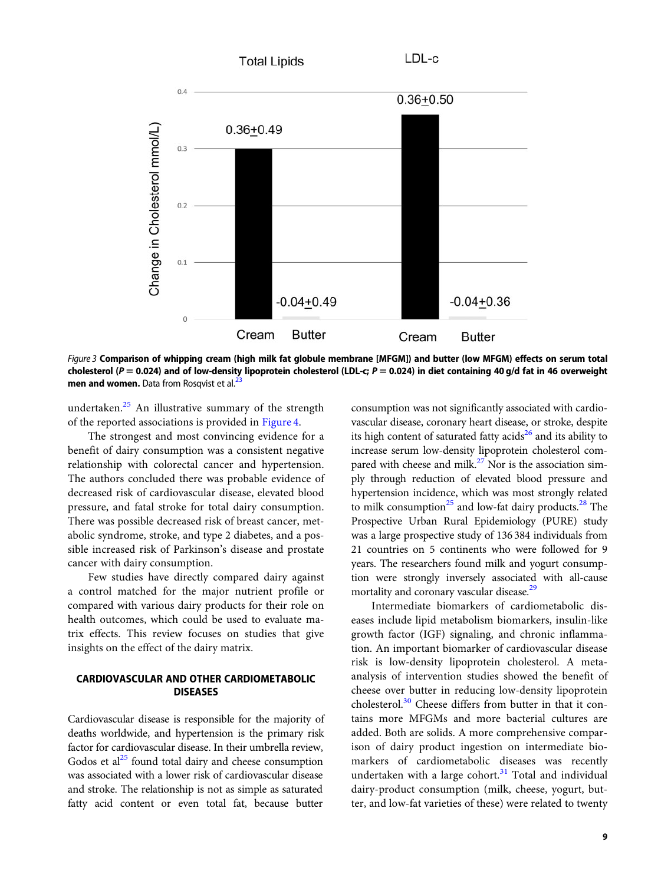<span id="page-5-0"></span>

Figure 3 Comparison of whipping cream (high milk fat globule membrane [MFGM]) and butter (low MFGM) effects on serum total cholesterol (P = 0.024) and of low-density lipoprotein cholesterol (LDL-c; P = 0.024) in diet containing 40 g/d fat in 46 overweight men and women. Data from Rosqvist et al.<sup>23</sup>

undertaken.[25](#page-11-0) An illustrative summary of the strength of the reported associations is provided in [Figure](#page-6-0) [4](#page-6-0).

The strongest and most convincing evidence for a benefit of dairy consumption was a consistent negative relationship with colorectal cancer and hypertension. The authors concluded there was probable evidence of decreased risk of cardiovascular disease, elevated blood pressure, and fatal stroke for total dairy consumption. There was possible decreased risk of breast cancer, metabolic syndrome, stroke, and type 2 diabetes, and a possible increased risk of Parkinson's disease and prostate cancer with dairy consumption.

Few studies have directly compared dairy against a control matched for the major nutrient profile or compared with various dairy products for their role on health outcomes, which could be used to evaluate matrix effects. This review focuses on studies that give insights on the effect of the dairy matrix.

# CARDIOVASCULAR AND OTHER CARDIOMETABOLIC DISEASES

Cardiovascular disease is responsible for the majority of deaths worldwide, and hypertension is the primary risk factor for cardiovascular disease. In their umbrella review, Godos et  $al<sup>25</sup>$  $al<sup>25</sup>$  $al<sup>25</sup>$  found total dairy and cheese consumption was associated with a lower risk of cardiovascular disease and stroke. The relationship is not as simple as saturated fatty acid content or even total fat, because butter

consumption was not significantly associated with cardiovascular disease, coronary heart disease, or stroke, despite its high content of saturated fatty  $acids^{26}$  and its ability to increase serum low-density lipoprotein cholesterol compared with cheese and milk. $27$  Nor is the association simply through reduction of elevated blood pressure and hypertension incidence, which was most strongly related to milk consumption $^{25}$  $^{25}$  $^{25}$  and low-fat dairy products.<sup>[28](#page-11-0)</sup> The Prospective Urban Rural Epidemiology (PURE) study was a large prospective study of 136 384 individuals from 21 countries on 5 continents who were followed for 9 years. The researchers found milk and yogurt consumption were strongly inversely associated with all-cause mortality and coronary vascular disease.<sup>29</sup>

Intermediate biomarkers of cardiometabolic diseases include lipid metabolism biomarkers, insulin-like growth factor (IGF) signaling, and chronic inflammation. An important biomarker of cardiovascular disease risk is low-density lipoprotein cholesterol. A metaanalysis of intervention studies showed the benefit of cheese over butter in reducing low-density lipoprotein cholesterol. $30$  Cheese differs from butter in that it contains more MFGMs and more bacterial cultures are added. Both are solids. A more comprehensive comparison of dairy product ingestion on intermediate biomarkers of cardiometabolic diseases was recently undertaken with a large cohort. $31$  Total and individual dairy-product consumption (milk, cheese, yogurt, butter, and low-fat varieties of these) were related to twenty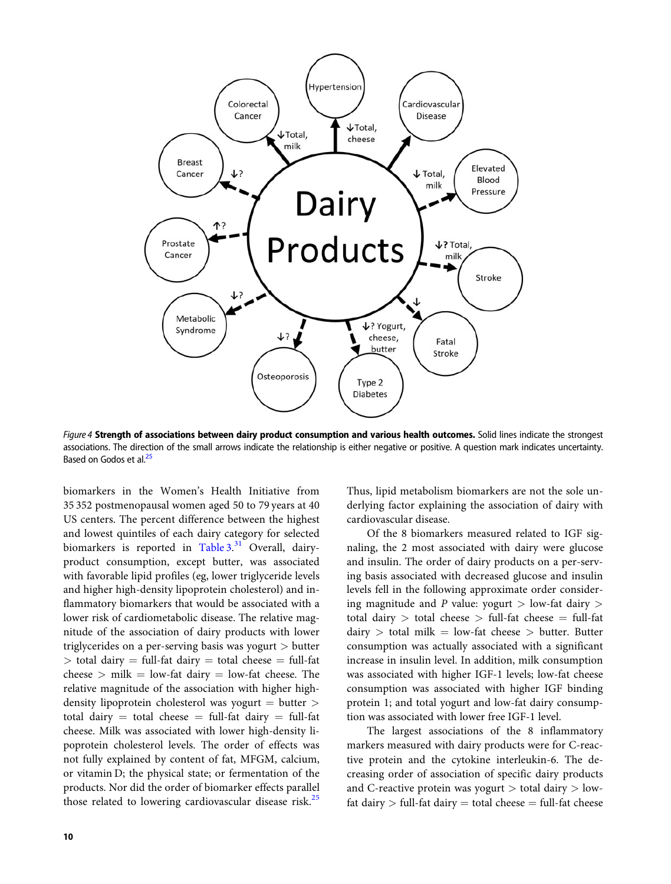<span id="page-6-0"></span>

Figure 4 Strength of associations between dairy product consumption and various health outcomes. Solid lines indicate the strongest associations. The direction of the small arrows indicate the relationship is either negative or positive. A question mark indicates uncertainty. Based on Godos et al.<sup>[25](#page-11-0)</sup>

biomarkers in the Women's Health Initiative from 35 352 postmenopausal women aged 50 to 79 years at 40 US centers. The percent difference between the highest and lowest quintiles of each dairy category for selected biomarkers is reported in [Table 3.](#page-7-0)<sup>[31](#page-11-0)</sup> Overall, dairyproduct consumption, except butter, was associated with favorable lipid profiles (eg, lower triglyceride levels and higher high-density lipoprotein cholesterol) and inflammatory biomarkers that would be associated with a lower risk of cardiometabolic disease. The relative magnitude of the association of dairy products with lower triglycerides on a per-serving basis was yogurt > butter  $>$  total dairy  $=$  full-fat dairy  $=$  total cheese  $=$  full-fat cheese  $>$  milk  $=$  low-fat dairy  $=$  low-fat cheese. The relative magnitude of the association with higher highdensity lipoprotein cholesterol was yogurt  $=$  butter  $>$ total dairy  $=$  total cheese  $=$  full-fat dairy  $=$  full-fat cheese. Milk was associated with lower high-density lipoprotein cholesterol levels. The order of effects was not fully explained by content of fat, MFGM, calcium, or vitamin D; the physical state; or fermentation of the products. Nor did the order of biomarker effects parallel those related to lowering cardiovascular disease risk. $^{25}$  $^{25}$  $^{25}$ 

Thus, lipid metabolism biomarkers are not the sole underlying factor explaining the association of dairy with cardiovascular disease.

Of the 8 biomarkers measured related to IGF signaling, the 2 most associated with dairy were glucose and insulin. The order of dairy products on a per-serving basis associated with decreased glucose and insulin levels fell in the following approximate order considering magnitude and P value: yogurt  $>$  low-fat dairy  $>$ total dairy  $>$  total cheese  $>$  full-fat cheese  $=$  full-fat dairy  $>$  total milk = low-fat cheese  $>$  butter. Butter consumption was actually associated with a significant increase in insulin level. In addition, milk consumption was associated with higher IGF-1 levels; low-fat cheese consumption was associated with higher IGF binding protein 1; and total yogurt and low-fat dairy consumption was associated with lower free IGF-1 level.

The largest associations of the 8 inflammatory markers measured with dairy products were for C-reactive protein and the cytokine interleukin-6. The decreasing order of association of specific dairy products and C-reactive protein was yogurt  $>$  total dairy  $>$  lowfat dairy  $>$  full-fat dairy  $=$  total cheese  $=$  full-fat cheese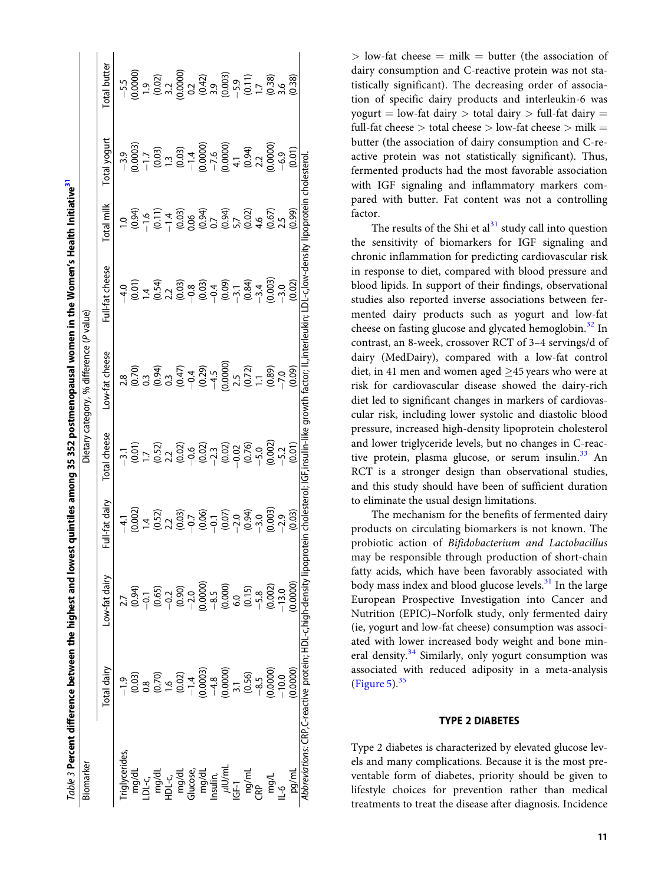<span id="page-7-0"></span>

|                        |                                                                                                                                                                                                                                                                                                                             | Table 3 Percent difference between the highest and low                                                                                                |                                                                                                                                                                                                                                                                                                                                   |                                                                                                                                                                                                                                                                                                                                 |                                                                                                                                                                                                 | est quintiles among 35 352 postmenopausal women in the Women's Health Initiative <sup>31</sup> |                                                                                                                                                                                                                                                                                                                                   |                                                                                                                                                                                                                                                                                                                                                |                                                                                                                                                                                                                                                                     |
|------------------------|-----------------------------------------------------------------------------------------------------------------------------------------------------------------------------------------------------------------------------------------------------------------------------------------------------------------------------|-------------------------------------------------------------------------------------------------------------------------------------------------------|-----------------------------------------------------------------------------------------------------------------------------------------------------------------------------------------------------------------------------------------------------------------------------------------------------------------------------------|---------------------------------------------------------------------------------------------------------------------------------------------------------------------------------------------------------------------------------------------------------------------------------------------------------------------------------|-------------------------------------------------------------------------------------------------------------------------------------------------------------------------------------------------|------------------------------------------------------------------------------------------------|-----------------------------------------------------------------------------------------------------------------------------------------------------------------------------------------------------------------------------------------------------------------------------------------------------------------------------------|------------------------------------------------------------------------------------------------------------------------------------------------------------------------------------------------------------------------------------------------------------------------------------------------------------------------------------------------|---------------------------------------------------------------------------------------------------------------------------------------------------------------------------------------------------------------------------------------------------------------------|
| Biomarker              |                                                                                                                                                                                                                                                                                                                             |                                                                                                                                                       |                                                                                                                                                                                                                                                                                                                                   |                                                                                                                                                                                                                                                                                                                                 | Dietary category, % difference (P value)                                                                                                                                                        |                                                                                                |                                                                                                                                                                                                                                                                                                                                   |                                                                                                                                                                                                                                                                                                                                                |                                                                                                                                                                                                                                                                     |
|                        | Total dairy                                                                                                                                                                                                                                                                                                                 | ow-fat dairy                                                                                                                                          | -ull-fat dairy                                                                                                                                                                                                                                                                                                                    | otal cheese                                                                                                                                                                                                                                                                                                                     | ow-fat cheese                                                                                                                                                                                   | -ull-fat cheese                                                                                | Total milk                                                                                                                                                                                                                                                                                                                        | iotal yogurt                                                                                                                                                                                                                                                                                                                                   | otal butter                                                                                                                                                                                                                                                         |
|                        |                                                                                                                                                                                                                                                                                                                             |                                                                                                                                                       |                                                                                                                                                                                                                                                                                                                                   |                                                                                                                                                                                                                                                                                                                                 |                                                                                                                                                                                                 |                                                                                                |                                                                                                                                                                                                                                                                                                                                   |                                                                                                                                                                                                                                                                                                                                                |                                                                                                                                                                                                                                                                     |
|                        |                                                                                                                                                                                                                                                                                                                             |                                                                                                                                                       |                                                                                                                                                                                                                                                                                                                                   |                                                                                                                                                                                                                                                                                                                                 |                                                                                                                                                                                                 |                                                                                                |                                                                                                                                                                                                                                                                                                                                   |                                                                                                                                                                                                                                                                                                                                                |                                                                                                                                                                                                                                                                     |
|                        |                                                                                                                                                                                                                                                                                                                             |                                                                                                                                                       |                                                                                                                                                                                                                                                                                                                                   |                                                                                                                                                                                                                                                                                                                                 |                                                                                                                                                                                                 |                                                                                                |                                                                                                                                                                                                                                                                                                                                   |                                                                                                                                                                                                                                                                                                                                                |                                                                                                                                                                                                                                                                     |
|                        | $\begin{bmatrix} 9 & 9 & 9 \\ 0 & 0.3 & 0 \\ 0.6 & 0 & 0 \\ 0.7 & 0 & 0 \\ 0 & 0.2 & 0 \\ 0.000 & 0 & 0 \\ 0.000 & 0 & 0 \\ 0.000 & 0 & 0 \\ 0.5 & 0 & 0 \\ 0.5 & 0 & 0 \\ 0 & 0 & 0 \\ 0 & 0 & 0 \\ 0 & 0 & 0 \\ 0 & 0 & 0 \\ 0 & 0 & 0 \\ 0 & 0 & 0 \\ 0 & 0 & 0 \\ 0 & 0 & 0 \\ 0 & 0 & 0 \\ 0 & 0 & 0 \\ 0 & 0 & 0 \\ $ | $7, 7, 94$<br>$(0.94)$<br>$(0.65)$<br>$(0.65)$<br>$(0.65)$<br>$(0.65)$<br>$(0.000)$<br>$(0.000)$<br>$(0.000)$<br>$(0.000)$<br>$(0.000)$<br>$(0.0000)$ | $\begin{array}{c} 4.1 \\ (0.002) \\ (0.52) \\ (1.52) \\ (2.30) \\ (3.30) \\ (0.03) \\ (0.03) \\ (0.03) \\ (0.03) \\ (0.03) \\ (0.03) \\ (0.03) \\ (0.03) \\ (0.03) \\ (0.03) \\ (0.03) \\ (0.03) \\ (0.03) \\ (0.03) \\ (0.03) \\ (0.03) \\ (0.03) \\ (0.03) \\ (0.03) \\ (0.03) \\ (0.03) \\ (0.03) \\ (0.03) \\ (0.03) \\ (0.0$ | $\begin{bmatrix} 1 & 1 & 0 & 0 \\ 0 & 0 & 1 & 0 \\ 0 & 0 & 2 & 0 \\ 0 & 0 & 0 & 0 \\ 0 & 0 & 0 & 0 \\ 0 & 0 & 0 & 0 \\ 0 & 0 & 0 & 0 \\ 0 & 0 & 0 & 0 \\ 0 & 0 & 0 & 0 \\ 0 & 0 & 0 & 0 \\ 0 & 0 & 0 & 0 \\ 0 & 0 & 0 & 0 \\ 0 & 0 & 0 & 0 \\ 0 & 0 & 0 & 0 \\ 0 & 0 & 0 & 0 \\ 0 & 0 & 0 & 0 \\ 0 & 0 & 0 & 0 \\ 0 & 0 & 0 & $ | $7.80\n7.81\n7.83\n7.84\n7.85\n8.87\n7.87\n7.88\n7.89\n7.80\n7.80\n7.80\n7.80\n7.80\n7.80\n7.80\n7.80\n7.80\n7.80\n7.80\n7.80\n7.80\n7.80\n7.80\n7.80\n7.80\n7.80\n8.80\n9.80\n10.81\n12.82\n1$ |                                                                                                | $\begin{array}{l} 0.034 \\ -0.046 \\ -0.014 \\ -0.000 \\ -0.000 \\ -0.000 \\ -0.000 \\ -0.000 \\ -0.000 \\ -0.000 \\ -0.000 \\ -0.000 \\ -0.000 \\ -0.000 \\ -0.000 \\ -0.000 \\ -0.000 \\ -0.000 \\ -0.000 \\ -0.000 \\ -0.000 \\ -0.000 \\ -0.000 \\ -0.000 \\ -0.000 \\ -0.000 \\ -0.000 \\ -0.000 \\ -0.000 \\ -0.000 \\ -0.$ | $\begin{array}{r} -3.9 \\ -0.0003) \\ -1.7 \\ -0.03 \\ -0.03 \\ -0.03 \\ -1.4 \\ -0.000 \\ -0.000 \\ -0.000 \\ -0.94 \\ -0.000 \\ -0.000 \\ -0.01 \\ -0.01 \\ -0.01 \\ -0.01 \\ -0.01 \\ -0.01 \\ -0.01 \\ -0.01 \\ -0.01 \\ -0.01 \\ -0.01 \\ -0.01 \\ -0.01 \\ -0.01 \\ -0.01 \\ -0.01 \\ -0.01 \\ -0.01 \\ -0.01 \\ -0.01 \\ -0.01 \\ -0.0$ | $\begin{bmatrix} 5.5\\ -5.5\\ 0.0000\\ 0.021\\ 0.0000\\ 0.0000\\ 0.021\\ 0.0000\\ 0.0000\\ 0.0000\\ 0.0000\\ 0.0000\\ 0.0000\\ 0.0000\\ 0.0000\\ 0.0000\\ 0.0000\\ 0.0000\\ 0.0000\\ 0.0000\\ 0.0000\\ 0.0000\\ 0.0000\\ 0.0000\\ 0.0000\\ 0.0000\\ 0.0000\\ 0.000$ |
|                        |                                                                                                                                                                                                                                                                                                                             |                                                                                                                                                       |                                                                                                                                                                                                                                                                                                                                   |                                                                                                                                                                                                                                                                                                                                 |                                                                                                                                                                                                 |                                                                                                |                                                                                                                                                                                                                                                                                                                                   |                                                                                                                                                                                                                                                                                                                                                |                                                                                                                                                                                                                                                                     |
|                        |                                                                                                                                                                                                                                                                                                                             |                                                                                                                                                       |                                                                                                                                                                                                                                                                                                                                   |                                                                                                                                                                                                                                                                                                                                 |                                                                                                                                                                                                 |                                                                                                |                                                                                                                                                                                                                                                                                                                                   |                                                                                                                                                                                                                                                                                                                                                |                                                                                                                                                                                                                                                                     |
|                        |                                                                                                                                                                                                                                                                                                                             |                                                                                                                                                       |                                                                                                                                                                                                                                                                                                                                   |                                                                                                                                                                                                                                                                                                                                 |                                                                                                                                                                                                 |                                                                                                |                                                                                                                                                                                                                                                                                                                                   |                                                                                                                                                                                                                                                                                                                                                |                                                                                                                                                                                                                                                                     |
|                        |                                                                                                                                                                                                                                                                                                                             |                                                                                                                                                       |                                                                                                                                                                                                                                                                                                                                   |                                                                                                                                                                                                                                                                                                                                 |                                                                                                                                                                                                 |                                                                                                |                                                                                                                                                                                                                                                                                                                                   |                                                                                                                                                                                                                                                                                                                                                |                                                                                                                                                                                                                                                                     |
|                        |                                                                                                                                                                                                                                                                                                                             |                                                                                                                                                       |                                                                                                                                                                                                                                                                                                                                   |                                                                                                                                                                                                                                                                                                                                 |                                                                                                                                                                                                 |                                                                                                |                                                                                                                                                                                                                                                                                                                                   |                                                                                                                                                                                                                                                                                                                                                |                                                                                                                                                                                                                                                                     |
| $\frac{\mu I U/mL}{1}$ |                                                                                                                                                                                                                                                                                                                             |                                                                                                                                                       |                                                                                                                                                                                                                                                                                                                                   |                                                                                                                                                                                                                                                                                                                                 |                                                                                                                                                                                                 |                                                                                                |                                                                                                                                                                                                                                                                                                                                   |                                                                                                                                                                                                                                                                                                                                                |                                                                                                                                                                                                                                                                     |
|                        |                                                                                                                                                                                                                                                                                                                             |                                                                                                                                                       |                                                                                                                                                                                                                                                                                                                                   |                                                                                                                                                                                                                                                                                                                                 |                                                                                                                                                                                                 |                                                                                                |                                                                                                                                                                                                                                                                                                                                   |                                                                                                                                                                                                                                                                                                                                                |                                                                                                                                                                                                                                                                     |
| ng/mL<br>CRP           |                                                                                                                                                                                                                                                                                                                             |                                                                                                                                                       |                                                                                                                                                                                                                                                                                                                                   |                                                                                                                                                                                                                                                                                                                                 |                                                                                                                                                                                                 |                                                                                                |                                                                                                                                                                                                                                                                                                                                   |                                                                                                                                                                                                                                                                                                                                                |                                                                                                                                                                                                                                                                     |
|                        |                                                                                                                                                                                                                                                                                                                             |                                                                                                                                                       |                                                                                                                                                                                                                                                                                                                                   |                                                                                                                                                                                                                                                                                                                                 |                                                                                                                                                                                                 |                                                                                                |                                                                                                                                                                                                                                                                                                                                   |                                                                                                                                                                                                                                                                                                                                                |                                                                                                                                                                                                                                                                     |
| mg/L<br>L-6            |                                                                                                                                                                                                                                                                                                                             |                                                                                                                                                       |                                                                                                                                                                                                                                                                                                                                   |                                                                                                                                                                                                                                                                                                                                 |                                                                                                                                                                                                 |                                                                                                |                                                                                                                                                                                                                                                                                                                                   |                                                                                                                                                                                                                                                                                                                                                |                                                                                                                                                                                                                                                                     |
|                        |                                                                                                                                                                                                                                                                                                                             |                                                                                                                                                       |                                                                                                                                                                                                                                                                                                                                   |                                                                                                                                                                                                                                                                                                                                 |                                                                                                                                                                                                 |                                                                                                |                                                                                                                                                                                                                                                                                                                                   |                                                                                                                                                                                                                                                                                                                                                |                                                                                                                                                                                                                                                                     |
| pa/ml                  | 0.0000                                                                                                                                                                                                                                                                                                                      |                                                                                                                                                       |                                                                                                                                                                                                                                                                                                                                   |                                                                                                                                                                                                                                                                                                                                 |                                                                                                                                                                                                 |                                                                                                |                                                                                                                                                                                                                                                                                                                                   |                                                                                                                                                                                                                                                                                                                                                |                                                                                                                                                                                                                                                                     |
|                        |                                                                                                                                                                                                                                                                                                                             | Abbreviations: CRP,C-reactive protein; HDL-c,high-density lipop                                                                                       | otein cholesterol;                                                                                                                                                                                                                                                                                                                | GF,insulin-like growth factor; ll                                                                                                                                                                                                                                                                                               |                                                                                                                                                                                                 | kin; LDL-c,low-density l                                                                       | lipoprotein                                                                                                                                                                                                                                                                                                                       | cholesterol                                                                                                                                                                                                                                                                                                                                    |                                                                                                                                                                                                                                                                     |

 $>$  low-fat cheese  $=$  milk  $=$  butter (the association of dairy consumption and C-reactive protein was not statistically significant). The decreasing order of association of specific dairy products and interleukin-6 was yogurt = low-fat dairy > total dairy > full-fat dairy = full-fat cheese  $>$  total cheese  $>$  low-fat cheese  $>$  milk  $=$ butter (the association of dairy consumption and C-reactive protein was not statistically significant). Thus, fermented products had the most favorable association with IGF signaling and inflammatory markers compared with butter. Fat content was not a controlling factor.

The results of the Shi et  $al<sup>31</sup>$  $al<sup>31</sup>$  $al<sup>31</sup>$  study call into question the sensitivity of biomarkers for IGF signaling and chronic inflammation for predicting cardiovascular risk in response to diet, compared with blood pressure and blood lipids. In support of their findings, observational studies also reported inverse associations between fermented dairy products such as yogurt and low-fat cheese on fasting glucose and glycated hemoglobin.<sup>[32](#page-11-0)</sup> In contrast, an 8-week, crossover RCT of 3–4 servings/d of dairy (MedDairy), compared with a low-fat control diet, in 41 men and women aged  $\geq$ 45 years who were at risk for cardiovascular disease showed the dairy-rich diet led to significant changes in markers of cardiovascular risk, including lower systolic and diastolic blood pressure, increased high-density lipoprotein cholesterol and lower triglyceride levels, but no changes in C-reac-tive protein, plasma glucose, or serum insulin.<sup>[33](#page-11-0)</sup> An RCT is a stronger design than observational studies, and this study should have been of sufficient duration to eliminate the usual design limitations.

The mechanism for the benefits of fermented dairy products on circulating biomarkers is not known. The probiotic action of Bifidobacterium and Lactobacillus may be responsible through production of short-chain fatty acids, which have been favorably associated with body mass index and blood glucose levels. $31$  In the large European Prospective Investigation into Cancer and Nutrition (EPIC)–Norfolk study, only fermented dairy (ie, yogurt and low-fat cheese) consumption was associated with lower increased body weight and bone min-eral density.<sup>[34](#page-11-0)</sup> Similarly, only yogurt consumption was associated with reduced adiposity in a meta-analysis [\(Figure 5\)](#page-8-0). $35$ 

### TYPE 2 DIABETES

Type 2 diabetes is characterized by elevated glucose levels and many complications. Because it is the most preventable form of diabetes, priority should be given to lifestyle choices for prevention rather than medical treatments to treat the disease after diagnosis. Incidence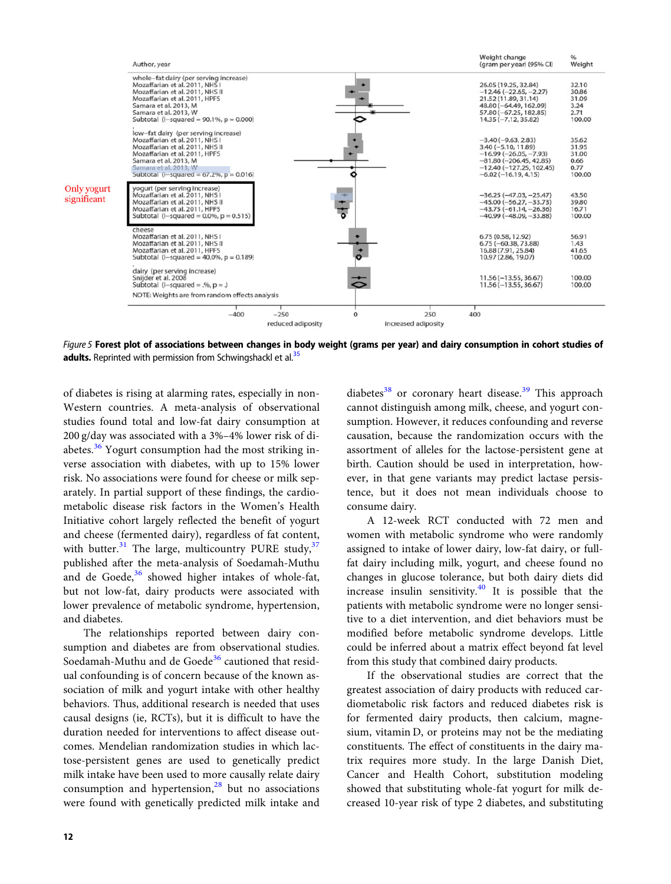<span id="page-8-0"></span>

Figure 5 Forest plot of associations between changes in body weight (grams per year) and dairy consumption in cohort studies of adults. Reprinted with permission from Schwingshackl et al.<sup>35</sup>

of diabetes is rising at alarming rates, especially in non-Western countries. A meta-analysis of observational studies found total and low-fat dairy consumption at 200 g/day was associated with a 3%–4% lower risk of di-abetes.<sup>[36](#page-11-0)</sup> Yogurt consumption had the most striking inverse association with diabetes, with up to 15% lower risk. No associations were found for cheese or milk separately. In partial support of these findings, the cardiometabolic disease risk factors in the Women's Health Initiative cohort largely reflected the benefit of yogurt and cheese (fermented dairy), regardless of fat content, with butter. $31$  The large, multicountry PURE study,  $37$ published after the meta-analysis of Soedamah-Muthu and de Goede, $36$  showed higher intakes of whole-fat, but not low-fat, dairy products were associated with lower prevalence of metabolic syndrome, hypertension, and diabetes.

The relationships reported between dairy consumption and diabetes are from observational studies. Soedamah-Muthu and de Goede<sup>[36](#page-11-0)</sup> cautioned that residual confounding is of concern because of the known association of milk and yogurt intake with other healthy behaviors. Thus, additional research is needed that uses causal designs (ie, RCTs), but it is difficult to have the duration needed for interventions to affect disease outcomes. Mendelian randomization studies in which lactose-persistent genes are used to genetically predict milk intake have been used to more causally relate dairy consumption and hypertension, $^{28}$  $^{28}$  $^{28}$  but no associations were found with genetically predicted milk intake and

diabetes<sup>[38](#page-11-0)</sup> or coronary heart disease.<sup>[39](#page-11-0)</sup> This approach cannot distinguish among milk, cheese, and yogurt consumption. However, it reduces confounding and reverse causation, because the randomization occurs with the assortment of alleles for the lactose-persistent gene at birth. Caution should be used in interpretation, however, in that gene variants may predict lactase persistence, but it does not mean individuals choose to consume dairy.

A 12-week RCT conducted with 72 men and women with metabolic syndrome who were randomly assigned to intake of lower dairy, low-fat dairy, or fullfat dairy including milk, yogurt, and cheese found no changes in glucose tolerance, but both dairy diets did increase insulin sensitivity. $40$  It is possible that the patients with metabolic syndrome were no longer sensitive to a diet intervention, and diet behaviors must be modified before metabolic syndrome develops. Little could be inferred about a matrix effect beyond fat level from this study that combined dairy products.

If the observational studies are correct that the greatest association of dairy products with reduced cardiometabolic risk factors and reduced diabetes risk is for fermented dairy products, then calcium, magnesium, vitamin D, or proteins may not be the mediating constituents. The effect of constituents in the dairy matrix requires more study. In the large Danish Diet, Cancer and Health Cohort, substitution modeling showed that substituting whole-fat yogurt for milk decreased 10-year risk of type 2 diabetes, and substituting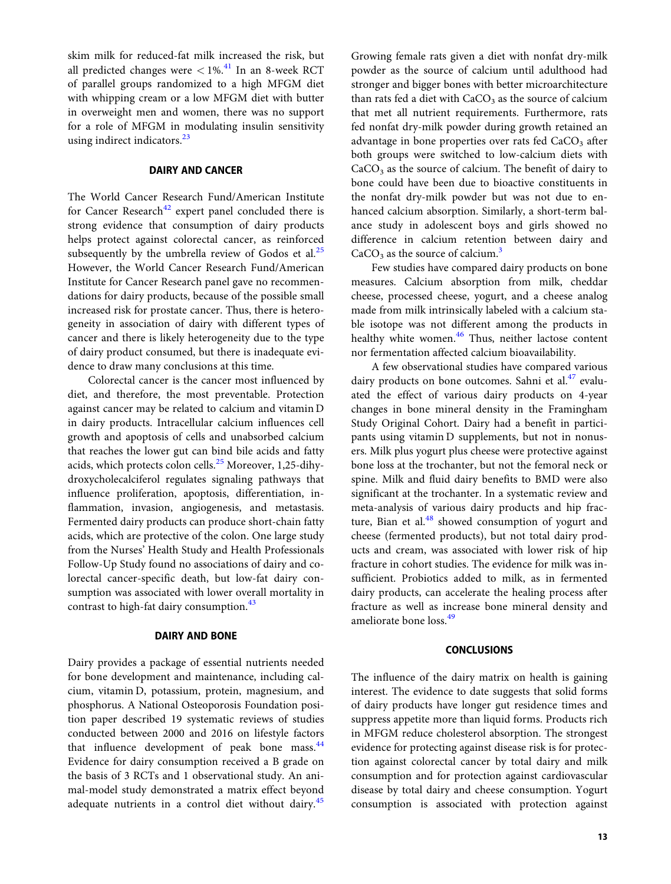skim milk for reduced-fat milk increased the risk, but all predicted changes were  $\langle 1\% \x$ <sup>[41](#page-11-0)</sup> In an 8-week RCT of parallel groups randomized to a high MFGM diet with whipping cream or a low MFGM diet with butter in overweight men and women, there was no support for a role of MFGM in modulating insulin sensitivity using indirect indicators.<sup>[23](#page-11-0)</sup>

## DAIRY AND CANCER

The World Cancer Research Fund/American Institute for Cancer Research<sup>[42](#page-11-0)</sup> expert panel concluded there is strong evidence that consumption of dairy products helps protect against colorectal cancer, as reinforced subsequently by the umbrella review of Godos et al. $^{25}$  $^{25}$  $^{25}$ However, the World Cancer Research Fund/American Institute for Cancer Research panel gave no recommendations for dairy products, because of the possible small increased risk for prostate cancer. Thus, there is heterogeneity in association of dairy with different types of cancer and there is likely heterogeneity due to the type of dairy product consumed, but there is inadequate evidence to draw many conclusions at this time.

Colorectal cancer is the cancer most influenced by diet, and therefore, the most preventable. Protection against cancer may be related to calcium and vitamin D in dairy products. Intracellular calcium influences cell growth and apoptosis of cells and unabsorbed calcium that reaches the lower gut can bind bile acids and fatty acids, which protects colon cells.<sup>[25](#page-11-0)</sup> Moreover, 1,25-dihydroxycholecalciferol regulates signaling pathways that influence proliferation, apoptosis, differentiation, inflammation, invasion, angiogenesis, and metastasis. Fermented dairy products can produce short-chain fatty acids, which are protective of the colon. One large study from the Nurses' Health Study and Health Professionals Follow-Up Study found no associations of dairy and colorectal cancer-specific death, but low-fat dairy consumption was associated with lower overall mortality in contrast to high-fat dairy consumption.<sup>[43](#page-11-0)</sup>

# DAIRY AND BONE

Dairy provides a package of essential nutrients needed for bone development and maintenance, including calcium, vitamin D, potassium, protein, magnesium, and phosphorus. A National Osteoporosis Foundation position paper described 19 systematic reviews of studies conducted between 2000 and 2016 on lifestyle factors that influence development of peak bone mass.<sup>[44](#page-11-0)</sup> Evidence for dairy consumption received a B grade on the basis of 3 RCTs and 1 observational study. An animal-model study demonstrated a matrix effect beyond adequate nutrients in a control diet without dairy.<sup>[45](#page-11-0)</sup>

Growing female rats given a diet with nonfat dry-milk powder as the source of calcium until adulthood had stronger and bigger bones with better microarchitecture than rats fed a diet with  $CaCO<sub>3</sub>$  as the source of calcium that met all nutrient requirements. Furthermore, rats fed nonfat dry-milk powder during growth retained an advantage in bone properties over rats fed CaCO<sub>3</sub> after both groups were switched to low-calcium diets with  $CaCO<sub>3</sub>$  as the source of calcium. The benefit of dairy to bone could have been due to bioactive constituents in the nonfat dry-milk powder but was not due to enhanced calcium absorption. Similarly, a short-term balance study in adolescent boys and girls showed no difference in calcium retention between dairy and  $CaCO<sub>3</sub>$  $CaCO<sub>3</sub>$  $CaCO<sub>3</sub>$  as the source of calcium.<sup>3</sup>

Few studies have compared dairy products on bone measures. Calcium absorption from milk, cheddar cheese, processed cheese, yogurt, and a cheese analog made from milk intrinsically labeled with a calcium stable isotope was not different among the products in healthy white women.<sup>[46](#page-11-0)</sup> Thus, neither lactose content nor fermentation affected calcium bioavailability.

A few observational studies have compared various dairy products on bone outcomes. Sahni et al. $47$  evaluated the effect of various dairy products on 4-year changes in bone mineral density in the Framingham Study Original Cohort. Dairy had a benefit in participants using vitamin D supplements, but not in nonusers. Milk plus yogurt plus cheese were protective against bone loss at the trochanter, but not the femoral neck or spine. Milk and fluid dairy benefits to BMD were also significant at the trochanter. In a systematic review and meta-analysis of various dairy products and hip fracture, Bian et al. $48$  showed consumption of yogurt and cheese (fermented products), but not total dairy products and cream, was associated with lower risk of hip fracture in cohort studies. The evidence for milk was insufficient. Probiotics added to milk, as in fermented dairy products, can accelerate the healing process after fracture as well as increase bone mineral density and ameliorate bone loss.<sup>[49](#page-11-0)</sup>

# CONCLUSIONS

The influence of the dairy matrix on health is gaining interest. The evidence to date suggests that solid forms of dairy products have longer gut residence times and suppress appetite more than liquid forms. Products rich in MFGM reduce cholesterol absorption. The strongest evidence for protecting against disease risk is for protection against colorectal cancer by total dairy and milk consumption and for protection against cardiovascular disease by total dairy and cheese consumption. Yogurt consumption is associated with protection against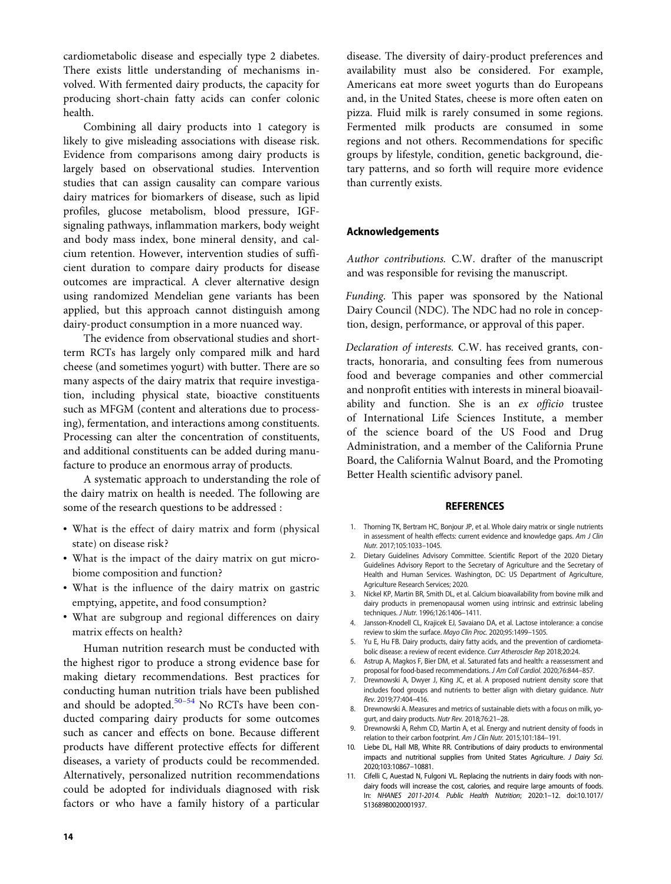<span id="page-10-0"></span>cardiometabolic disease and especially type 2 diabetes. There exists little understanding of mechanisms involved. With fermented dairy products, the capacity for producing short-chain fatty acids can confer colonic health.

Combining all dairy products into 1 category is likely to give misleading associations with disease risk. Evidence from comparisons among dairy products is largely based on observational studies. Intervention studies that can assign causality can compare various dairy matrices for biomarkers of disease, such as lipid profiles, glucose metabolism, blood pressure, IGFsignaling pathways, inflammation markers, body weight and body mass index, bone mineral density, and calcium retention. However, intervention studies of sufficient duration to compare dairy products for disease outcomes are impractical. A clever alternative design using randomized Mendelian gene variants has been applied, but this approach cannot distinguish among dairy-product consumption in a more nuanced way.

The evidence from observational studies and shortterm RCTs has largely only compared milk and hard cheese (and sometimes yogurt) with butter. There are so many aspects of the dairy matrix that require investigation, including physical state, bioactive constituents such as MFGM (content and alterations due to processing), fermentation, and interactions among constituents. Processing can alter the concentration of constituents, and additional constituents can be added during manufacture to produce an enormous array of products.

A systematic approach to understanding the role of the dairy matrix on health is needed. The following are some of the research questions to be addressed :

- What is the effect of dairy matrix and form (physical state) on disease risk?
- What is the impact of the dairy matrix on gut microbiome composition and function?
- What is the influence of the dairy matrix on gastric emptying, appetite, and food consumption?
- What are subgroup and regional differences on dairy matrix effects on health?

Human nutrition research must be conducted with the highest rigor to produce a strong evidence base for making dietary recommendations. Best practices for conducting human nutrition trials have been published and should be adopted. $50-54$  No RCTs have been conducted comparing dairy products for some outcomes such as cancer and effects on bone. Because different products have different protective effects for different diseases, a variety of products could be recommended. Alternatively, personalized nutrition recommendations could be adopted for individuals diagnosed with risk factors or who have a family history of a particular

disease. The diversity of dairy-product preferences and availability must also be considered. For example, Americans eat more sweet yogurts than do Europeans and, in the United States, cheese is more often eaten on pizza. Fluid milk is rarely consumed in some regions. Fermented milk products are consumed in some regions and not others. Recommendations for specific groups by lifestyle, condition, genetic background, dietary patterns, and so forth will require more evidence than currently exists.

#### Acknowledgements

Author contributions. C.W. drafter of the manuscript and was responsible for revising the manuscript.

Funding. This paper was sponsored by the National Dairy Council (NDC). The NDC had no role in conception, design, performance, or approval of this paper.

Declaration of interests. C.W. has received grants, contracts, honoraria, and consulting fees from numerous food and beverage companies and other commercial and nonprofit entities with interests in mineral bioavailability and function. She is an ex officio trustee of International Life Sciences Institute, a member of the science board of the US Food and Drug Administration, and a member of the California Prune Board, the California Walnut Board, and the Promoting Better Health scientific advisory panel.

#### REFERENCES

- 1. Thorning TK, Bertram HC, Bonjour JP, et al. Whole dairy matrix or single nutrients in assessment of health effects: current evidence and knowledge gaps. Am J Clin Nutr. 2017;105:1033–1045.
- 2. Dietary Guidelines Advisory Committee. Scientific Report of the 2020 Dietary Guidelines Advisory Report to the Secretary of Agriculture and the Secretary of Health and Human Services. Washington, DC: US Department of Agriculture, Agriculture Research Services; 2020.
- 3. Nickel KP, Martin BR, Smith DL, et al. Calcium bioavailability from bovine milk and dairy products in premenopausal women using intrinsic and extrinsic labeling techniques. J Nutr. 1996;126:1406–1411.
- 4. Jansson-Knodell CL, Krajicek EJ, Savaiano DA, et al. Lactose intolerance: a concise review to skim the surface. Mayo Clin Proc. 2020;95:1499–1505.
- Yu E, Hu FB. Dairy products, dairy fatty acids, and the prevention of cardiometabolic disease: a review of recent evidence. Curr Atheroscler Rep 2018;20:24.
- 6. Astrup A, Magkos F, Bier DM, et al. Saturated fats and health: a reassessment and proposal for food-based recommendations. J Am Coll Cardiol. 2020;76:844–857.
- Drewnowski A, Dwyer J, King JC, et al. A proposed nutrient density score that includes food groups and nutrients to better align with dietary guidance. Nutr Rev. 2019;77:404–416.
- 8. Drewnowski A. Measures and metrics of sustainable diets with a focus on milk, yogurt, and dairy products. Nutr Rev. 2018;76:21–28.
- Drewnowski A, Rehm CD, Martin A, et al. Energy and nutrient density of foods in relation to their carbon footprint. Am J Clin Nutr. 2015;101:184–191.
- 10. Liebe DL, Hall MB, White RR. Contributions of dairy products to environmental impacts and nutritional supplies from United States Agriculture. J Dairy Sci. 2020;103:10867–10881.
- 11. Cifelli C, Auestad N, Fulgoni VL. Replacing the nutrients in dairy foods with nondairy foods will increase the cost, calories, and require large amounts of foods. In: NHANES 2011-2014. Public Health Nutrition; 2020:1–12. doi:10.1017/ S1368980020001937.